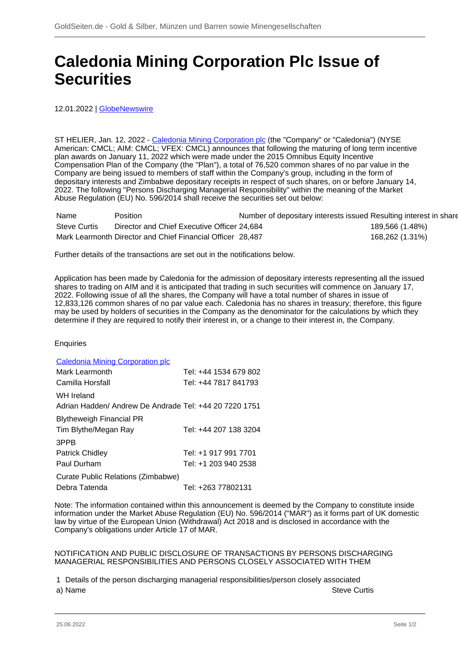## **Caledonia Mining Corporation Plc Issue of Securities**

12.01.2022 | [GlobeNewswire](/profil/261--GlobeNewswire)

ST HELIER, Jan. 12, 2022 - [Caledonia Mining Corporation plc](/minen/51--Caledonia-Mining-Corporation-plc) (the "Company" or "Caledonia") (NYSE American: CMCL; AIM: CMCL; VFEX: CMCL) announces that following the maturing of long term incentive plan awards on January 11, 2022 which were made under the 2015 Omnibus Equity Incentive Compensation Plan of the Company (the "Plan"), a total of 76,520 common shares of no par value in the Company are being issued to members of staff within the Company's group, including in the form of depositary interests and Zimbabwe depositary receipts in respect of such shares, on or before January 14, 2022. The following "Persons Discharging Managerial Responsibility" within the meaning of the Market Abuse Regulation (EU) No. 596/2014 shall receive the securities set out below:

| Name         | Position                                                   | Number of depositary interests issued Resulting interest in share |                 |
|--------------|------------------------------------------------------------|-------------------------------------------------------------------|-----------------|
| Steve Curtis | Director and Chief Executive Officer 24,684                |                                                                   | 189,566 (1.48%) |
|              | Mark Learmonth Director and Chief Financial Officer 28,487 |                                                                   | 168,262 (1.31%) |

Further details of the transactions are set out in the notifications below.

Application has been made by Caledonia for the admission of depositary interests representing all the issued shares to trading on AIM and it is anticipated that trading in such securities will commence on January 17, 2022. Following issue of all the shares, the Company will have a total number of shares in issue of 12,833,126 common shares of no par value each. Caledonia has no shares in treasury; therefore, this figure may be used by holders of securities in the Company as the denominator for the calculations by which they determine if they are required to notify their interest in, or a change to their interest in, the Company.

## **Enquiries**

| <b>Caledonia Mining Corporation plc</b>                |                       |
|--------------------------------------------------------|-----------------------|
| Mark Learmonth                                         | Tel: +44 1534 679 802 |
| Camilla Horsfall                                       | Tel: +44 7817 841793  |
| WH Ireland                                             |                       |
| Adrian Hadden/ Andrew De Andrade Tel: +44 20 7220 1751 |                       |
| <b>Blytheweigh Financial PR</b>                        |                       |
| Tim Blythe/Megan Ray                                   | Tel: +44 207 138 3204 |
| 3PPB                                                   |                       |
| <b>Patrick Chidley</b>                                 | Tel: +1 917 991 7701  |
| Paul Durham                                            | Tel: +1 203 940 2538  |
| Curate Public Relations (Zimbabwe)                     |                       |
| Debra Tatenda                                          | Tel: +263 77802131    |

Note: The information contained within this announcement is deemed by the Company to constitute inside information under the Market Abuse Regulation (EU) No. 596/2014 ("MAR") as it forms part of UK domestic law by virtue of the European Union (Withdrawal) Act 2018 and is disclosed in accordance with the Company's obligations under Article 17 of MAR.

## NOTIFICATION AND PUBLIC DISCLOSURE OF TRANSACTIONS BY PERSONS DISCHARGING MANAGERIAL RESPONSIBILITIES AND PERSONS CLOSELY ASSOCIATED WITH THEM

1 Details of the person discharging managerial responsibilities/person closely associated a) Name Steve Curtis and Steve Curtis and Steve Curtis and Steve Curtis and Steve Curtis and Steve Curtis and Steve Curtis and Steve Curtis and Steve Curtis and Steve Curtis and Steve Curtis and Steve Curtis and Steve Curt